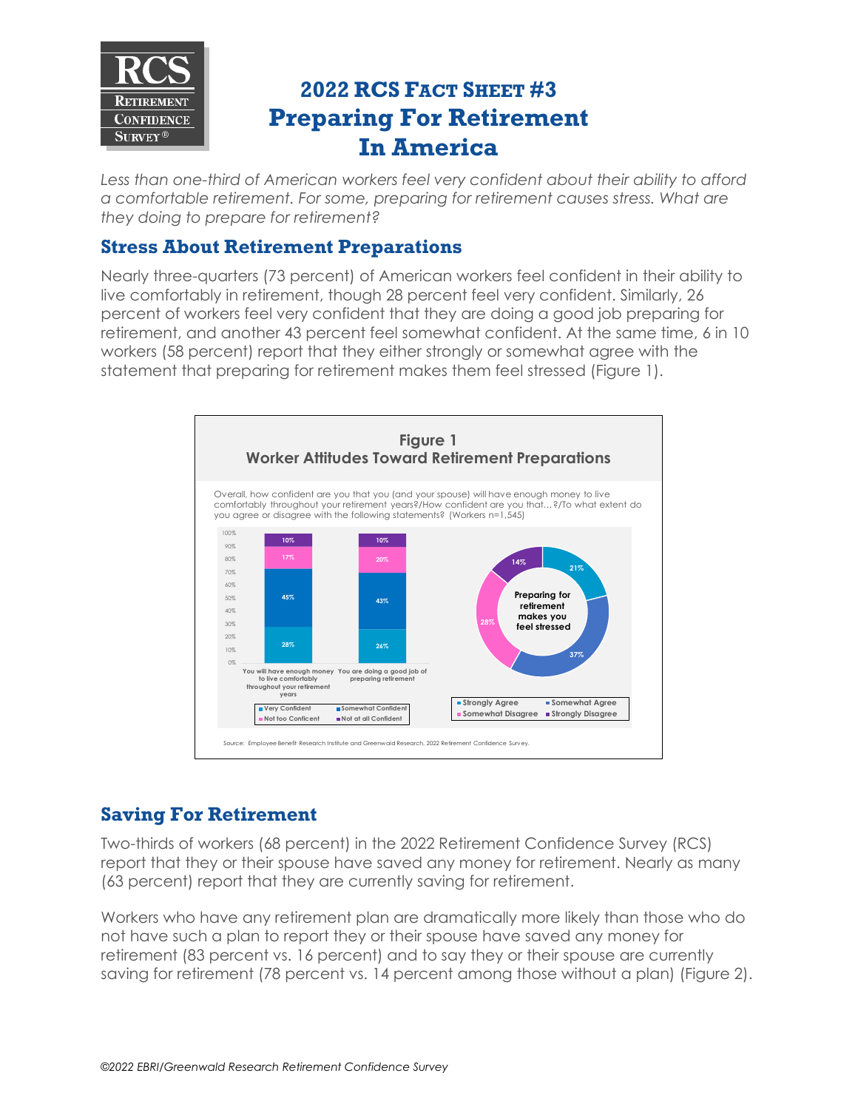

# **2022 RCS FACT SHEET #3 Preparing For Retirement In America**

*Less than one-third of American workers feel very confident about their ability to afford a comfortable retirement. For some, preparing for retirement causes stress. What are they doing to prepare for retirement?*

### **Stress About Retirement Preparations**

Nearly three-quarters (73 percent) of American workers feel confident in their ability to live comfortably in retirement, though 28 percent feel very confident. Similarly, 26 percent of workers feel very confident that they are doing a good job preparing for retirement, and another 43 percent feel somewhat confident. At the same time, 6 in 10 workers (58 percent) report that they either strongly or somewhat agree with the statement that preparing for retirement makes them feel stressed (Figure 1).



# **Saving For Retirement**

Two-thirds of workers (68 percent) in the 2022 Retirement Confidence Survey (RCS) report that they or their spouse have saved any money for retirement. Nearly as many (63 percent) report that they are currently saving for retirement.

Workers who have any retirement plan are dramatically more likely than those who do not have such a plan to report they or their spouse have saved any money for retirement (83 percent vs. 16 percent) and to say they or their spouse are currently saving for retirement (78 percent vs. 14 percent among those without a plan) (Figure 2).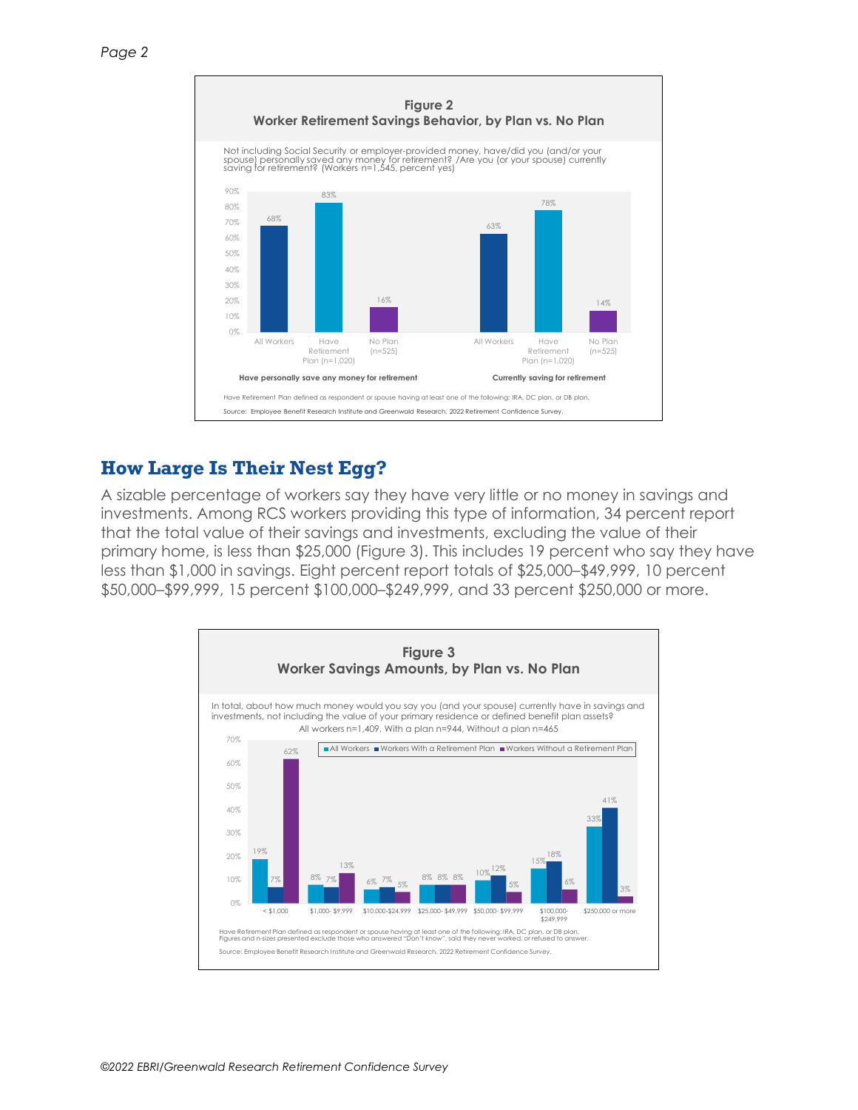

# **How Large Is Their Nest Egg?**

A sizable percentage of workers say they have very little or no money in savings and investments. Among RCS workers providing this type of information, 34 percent report that the total value of their savings and investments, excluding the value of their primary home, is less than \$25,000 (Figure 3). This includes 19 percent who say they have less than \$1,000 in savings. Eight percent report totals of \$25,000–\$49,999, 10 percent \$50,000–\$99,999, 15 percent \$100,000–\$249,999, and 33 percent \$250,000 or more.

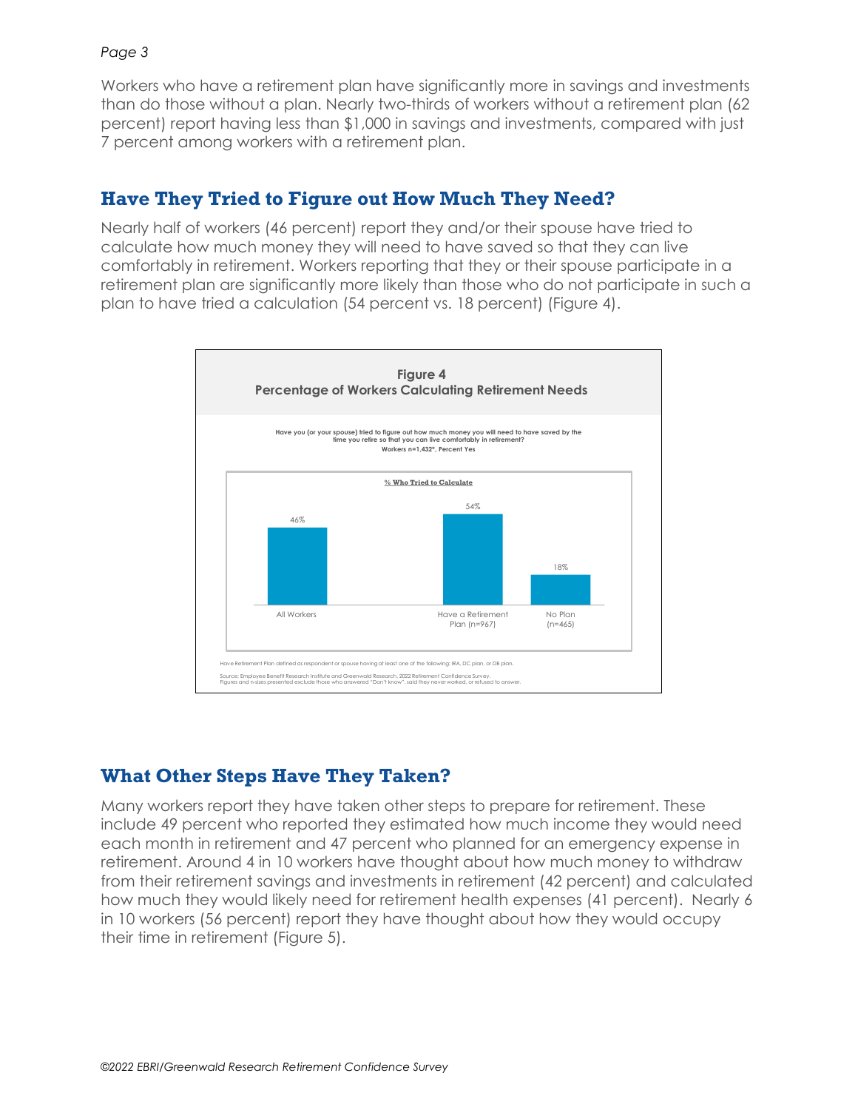#### *Page 3*

Workers who have a retirement plan have significantly more in savings and investments than do those without a plan. Nearly two-thirds of workers without a retirement plan (62 percent) report having less than \$1,000 in savings and investments, compared with just 7 percent among workers with a retirement plan.

# **Have They Tried to Figure out How Much They Need?**

Nearly half of workers (46 percent) report they and/or their spouse have tried to calculate how much money they will need to have saved so that they can live comfortably in retirement. Workers reporting that they or their spouse participate in a retirement plan are significantly more likely than those who do not participate in such a plan to have tried a calculation (54 percent vs. 18 percent) (Figure 4).



# **What Other Steps Have They Taken?**

Many workers report they have taken other steps to prepare for retirement. These include 49 percent who reported they estimated how much income they would need each month in retirement and 47 percent who planned for an emergency expense in retirement. Around 4 in 10 workers have thought about how much money to withdraw from their retirement savings and investments in retirement (42 percent) and calculated how much they would likely need for retirement health expenses (41 percent). Nearly 6 in 10 workers (56 percent) report they have thought about how they would occupy their time in retirement (Figure 5).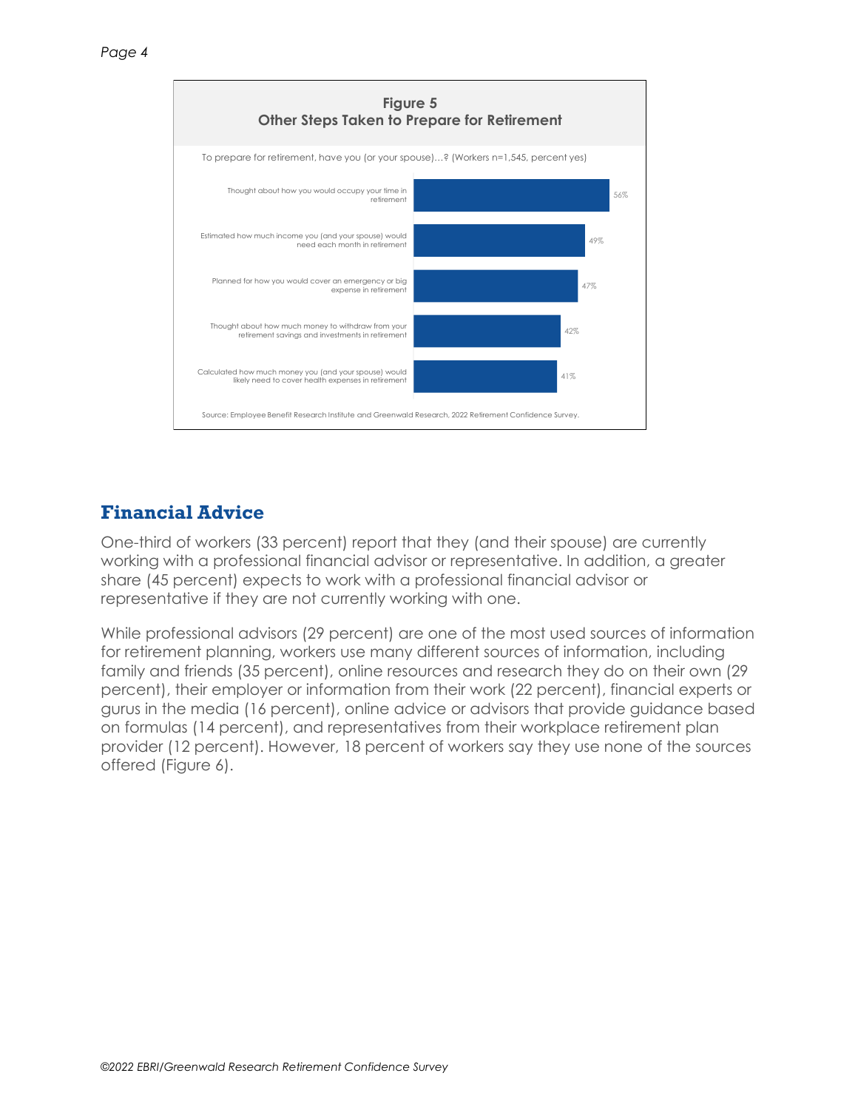

# **Financial Advice**

One-third of workers (33 percent) report that they (and their spouse) are currently working with a professional financial advisor or representative. In addition, a greater share (45 percent) expects to work with a professional financial advisor or representative if they are not currently working with one.

While professional advisors (29 percent) are one of the most used sources of information for retirement planning, workers use many different sources of information, including family and friends (35 percent), online resources and research they do on their own (29 percent), their employer or information from their work (22 percent), financial experts or gurus in the media (16 percent), online advice or advisors that provide guidance based on formulas (14 percent), and representatives from their workplace retirement plan provider (12 percent). However, 18 percent of workers say they use none of the sources offered (Figure 6).